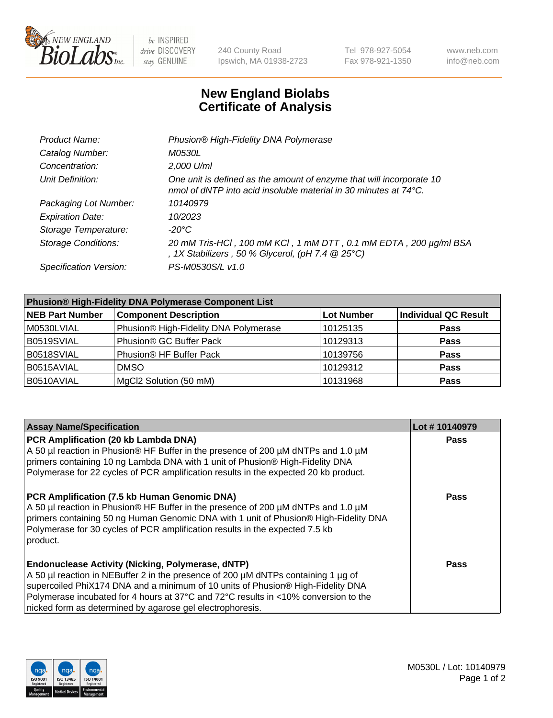

be INSPIRED drive DISCOVERY stay GENUINE

240 County Road Ipswich, MA 01938-2723 Tel 978-927-5054 Fax 978-921-1350 www.neb.com info@neb.com

## **New England Biolabs Certificate of Analysis**

| Product Name:              | Phusion® High-Fidelity DNA Polymerase                                                                                                              |
|----------------------------|----------------------------------------------------------------------------------------------------------------------------------------------------|
| Catalog Number:            | <i>M0530L</i>                                                                                                                                      |
| Concentration:             | 2,000 U/ml                                                                                                                                         |
| Unit Definition:           | One unit is defined as the amount of enzyme that will incorporate 10<br>nmol of dNTP into acid insoluble material in 30 minutes at $74^{\circ}$ C. |
| Packaging Lot Number:      | 10140979                                                                                                                                           |
| <b>Expiration Date:</b>    | 10/2023                                                                                                                                            |
| Storage Temperature:       | -20°C                                                                                                                                              |
| <b>Storage Conditions:</b> | 20 mM Tris-HCl, 100 mM KCl, 1 mM DTT, 0.1 mM EDTA, 200 µg/ml BSA<br>, 1X Stabilizers, 50 % Glycerol, (pH 7.4 $@25°C$ )                             |
| Specification Version:     | PS-M0530S/L v1.0                                                                                                                                   |

| <b>Phusion® High-Fidelity DNA Polymerase Component List</b> |                                       |                   |                             |  |
|-------------------------------------------------------------|---------------------------------------|-------------------|-----------------------------|--|
| <b>NEB Part Number</b>                                      | <b>Component Description</b>          | <b>Lot Number</b> | <b>Individual QC Result</b> |  |
| M0530LVIAL                                                  | Phusion® High-Fidelity DNA Polymerase | 10125135          | <b>Pass</b>                 |  |
| B0519SVIAL                                                  | Phusion <sup>®</sup> GC Buffer Pack   | 10129313          | <b>Pass</b>                 |  |
| B0518SVIAL                                                  | Phusion® HF Buffer Pack               | 10139756          | <b>Pass</b>                 |  |
| B0515AVIAL                                                  | <b>DMSO</b>                           | 10129312          | <b>Pass</b>                 |  |
| B0510AVIAL                                                  | MgCl2 Solution (50 mM)                | 10131968          | <b>Pass</b>                 |  |

| <b>Assay Name/Specification</b>                                                                                                                                           | Lot #10140979 |
|---------------------------------------------------------------------------------------------------------------------------------------------------------------------------|---------------|
| PCR Amplification (20 kb Lambda DNA)<br>A 50 µl reaction in Phusion® HF Buffer in the presence of 200 µM dNTPs and 1.0 µM                                                 | <b>Pass</b>   |
| primers containing 10 ng Lambda DNA with 1 unit of Phusion® High-Fidelity DNA                                                                                             |               |
| Polymerase for 22 cycles of PCR amplification results in the expected 20 kb product.                                                                                      |               |
| PCR Amplification (7.5 kb Human Genomic DNA)                                                                                                                              | <b>Pass</b>   |
| A 50 µl reaction in Phusion® HF Buffer in the presence of 200 µM dNTPs and 1.0 µM<br>primers containing 50 ng Human Genomic DNA with 1 unit of Phusion® High-Fidelity DNA |               |
| Polymerase for 30 cycles of PCR amplification results in the expected 7.5 kb                                                                                              |               |
| product.                                                                                                                                                                  |               |
| <b>Endonuclease Activity (Nicking, Polymerase, dNTP)</b>                                                                                                                  | Pass          |
| A 50 µl reaction in NEBuffer 2 in the presence of 200 µM dNTPs containing 1 µg of                                                                                         |               |
| supercoiled PhiX174 DNA and a minimum of 10 units of Phusion® High-Fidelity DNA                                                                                           |               |
| Polymerase incubated for 4 hours at 37°C and 72°C results in <10% conversion to the                                                                                       |               |
| nicked form as determined by agarose gel electrophoresis.                                                                                                                 |               |